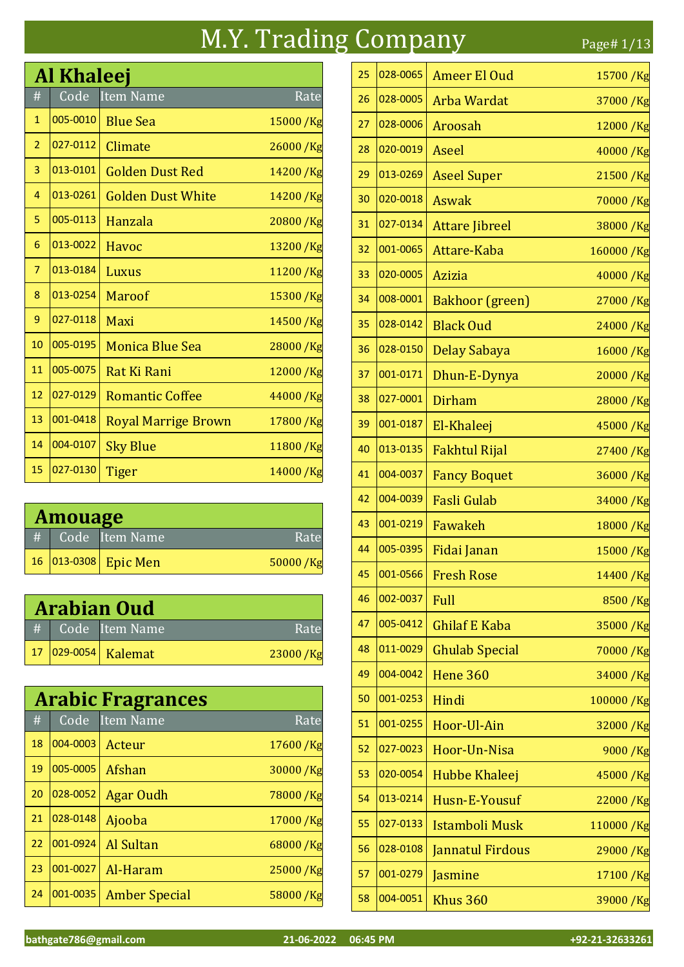#### M.Y. Trading Company Page# 1/13

# Code Item Name Al Khaleej 1  $|005-0010|$  Blue Sea 15000 /Kg 2  $|027-0112|$  Climate 26000 /Kg 3  $|013-0101|$  Golden Dust Red 14200 /Kg 4 013-0261 Golden Dust White 14200 /Kg 5 005-0113 Hanzala 20800 /Kg 6  $|013-0022|$  Havoc 13200 /Kg 013-0184 Luxus 11200 /Kg 8  $|013-0254|$  Maroof 15300 /Kg 9 027-0118 Maxi 14500 /Kg 10 005-0195 Monica Blue Sea 28000 /Kg 11 005-0075 Rat Ki Rani 12000 /Kg 027-0129 Romantic Coffee 44000 /Kg 13 001-0418 Royal Marrige Brown 17800 / Kg 14 004-0107 Sky Blue 11800 /Kg 15 027-0130 Tiger 14000 /Kg

| <b>Amouage</b> |  |                      |          |  |
|----------------|--|----------------------|----------|--|
| #              |  | Code Item Name       | Rate     |  |
|                |  | 16 013-0308 Epic Men | 50000/Kg |  |

| <b>Arabian Oud</b> |                     |          |  |  |
|--------------------|---------------------|----------|--|--|
|                    | # Code Item Name    | Rate     |  |  |
|                    | 17 029-0054 Kalemat | 23000/Kg |  |  |

|    |          | <b>Arabic Fragrances</b> |            |
|----|----------|--------------------------|------------|
| #  | Code     | Item Name                | Rate       |
| 18 | 004-0003 | Acteur                   | 17600/Kg   |
| 19 | 005-0005 | Afshan                   | 30000/Kg   |
| 20 | 028-0052 | <b>Agar Oudh</b>         | 78000 / Kg |
| 21 | 028-0148 | Ajooba                   | 17000 /Kg  |
| 22 | 001-0924 | <b>Al Sultan</b>         | 68000 / Kg |
| 23 | 001-0027 | Al-Haram                 | 25000 / Kg |
| 24 | 001-0035 | <b>Amber Special</b>     | 58000 / Kg |

| 25 | 028-0065 | <b>Ameer El Oud</b>     | 15700 /Kg  |
|----|----------|-------------------------|------------|
| 26 | 028-0005 | <b>Arba Wardat</b>      | 37000 / Kg |
| 27 | 028-0006 | Aroosah                 | 12000 /Kg  |
| 28 | 020-0019 | Aseel                   | 40000 /Kg  |
| 29 | 013-0269 | <b>Aseel Super</b>      | 21500 /Kg  |
| 30 | 020-0018 | <b>Aswak</b>            | 70000/Kg   |
| 31 | 027-0134 | <b>Attare Jibreel</b>   | 38000/Kg   |
| 32 | 001-0065 | Attare-Kaba             | 160000 /Kg |
| 33 | 020-0005 | <b>Azizia</b>           | 40000 /Kg  |
| 34 | 008-0001 | <b>Bakhoor</b> (green)  | 27000 /Kg  |
| 35 | 028-0142 | <b>Black Oud</b>        | 24000/Kg   |
| 36 | 028-0150 | Delay Sabaya            | 16000/Kg   |
| 37 | 001-0171 | Dhun-E-Dynya            | 20000/Kg   |
| 38 | 027-0001 | <b>Dirham</b>           | 28000 /Kg  |
| 39 | 001-0187 | El-Khaleej              | 45000/Kg   |
| 40 | 013-0135 | <b>Fakhtul Rijal</b>    | 27400 /Kg  |
| 41 | 004-0037 | <b>Fancy Boquet</b>     | 36000/Kg   |
| 42 | 004-0039 | <b>Fasli Gulab</b>      | 34000/Kg   |
| 43 | 001-0219 | Fawakeh                 | 18000 /Kg  |
| 44 | 005-0395 | Fidai Janan             | 15000 /Kg  |
| 45 | 001-0566 | <b>Fresh Rose</b>       | 14400/Kg   |
| 46 | 002-0037 | Full                    | 8500/Kg    |
| 47 | 005-0412 | <b>Ghilaf E Kaba</b>    | 35000/Kg   |
| 48 | 011-0029 | <b>Ghulab Special</b>   | 70000 / Kg |
| 49 | 004-0042 | <b>Hene 360</b>         | 34000/Kg   |
| 50 | 001-0253 | Hindi                   | 100000/Kg  |
| 51 | 001-0255 | Hoor-Ul-Ain             | 32000 /Kg  |
| 52 | 027-0023 | Hoor-Un-Nisa            | 9000 /Kg   |
| 53 | 020-0054 | Hubbe Khaleej           | 45000 /Kg  |
| 54 | 013-0214 | Husn-E-Yousuf           | 22000/Kg   |
| 55 | 027-0133 | Istamboli Musk          | 110000/Kg  |
| 56 | 028-0108 | <b>Jannatul Firdous</b> | 29000 /Kg  |
| 57 | 001-0279 | Jasmine                 | 17100/Kg   |
| 58 | 004-0051 | Khus 360                | 39000 /Kg  |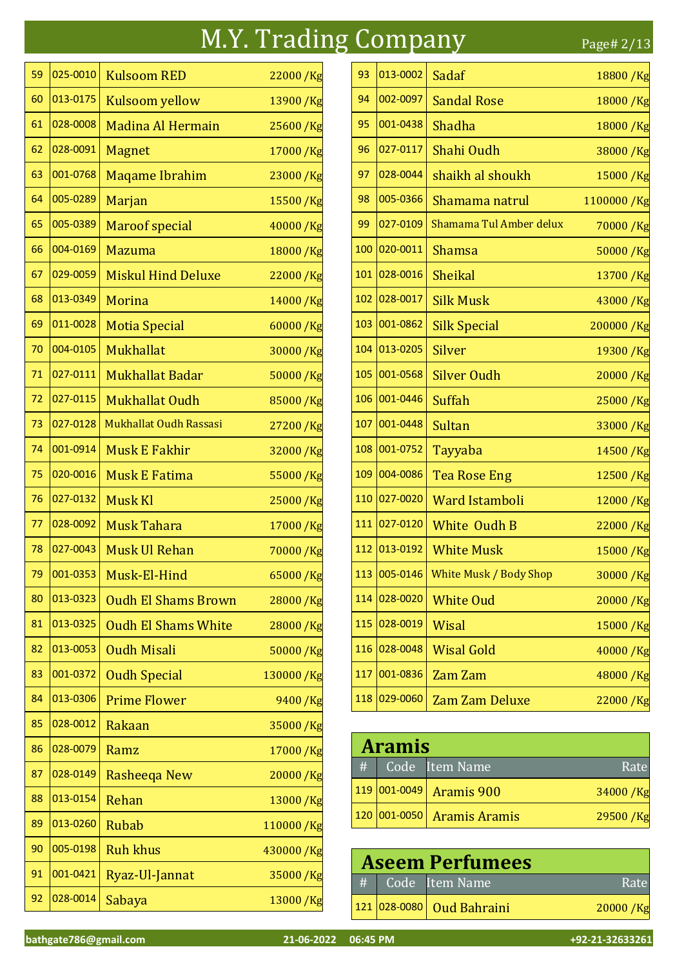#### M.Y. Trading Company Page# 2/13

 025-0010 Kulsoom RED 22000 /Kg 013-0175 Kulsoom yellow 13900 /Kg 028-0008 Madina Al Hermain 25600 /Kg 62 028-0091 Magnet 17000 /Kg 001-0768 Maqame Ibrahim 23000 /Kg 64 005-0289 Marjan 15500 /Kg  $\vert$ 005-0389 Maroof special 40000 /Kg 66 004-0169 Mazuma 18000 /Kg 029-0059 Miskul Hind Deluxe 22000 /Kg 013-0349 Morina 14000 /Kg 69 | 011-0028 | Motia Special 60000 /Kg 70 004-0105 Mukhallat 30000 /Kg 027-0111 Mukhallat Badar 50000 /Kg 72 027-0115 Mukhallat Oudh 85000 /Kg 027-0128 Mukhallat Oudh Rassasi 27200 /Kg 001-0914 Musk E Fakhir 32000 /Kg 020-0016 Musk E Fatima 55000 /Kg 76 | 027-0132 | Musk Kl 25000 / Kg 028-0092 Musk Tahara 17000 /Kg 78 027-0043 Musk Ul Rehan 70000 /Kg 79 001-0353 Musk-El-Hind 65000 Kg 013-0323 Oudh El Shams Brown 28000 /Kg 81 013-0325 Oudh El Shams White 28000 / Kg 82  $|013-0053|$  Oudh Misali 50000 /Kg 83 001-0372 Oudh Special 130000 /Kg 84 | 013-0306 | Prime Flower 9400 / Kg 85 028-0012 Rakaan 35000 /Kg 86 028-0079 Ramz 17000 /Kg 87 028-0149 Rasheeqa New 20000 /Kg 88 013-0154 Rehan 13000 /Kg 89 013-0260 Rubab 110000 /Kg 90 005-0198 Ruh khus 430000 /Kg 91 001-0421 Ryaz-Ul-Jannat 35000 /Kg 92 028-0014 Sabaya 13000 /Kg

| 93   | 013-0002 | Sadaf                         | 18800 / Kg  |
|------|----------|-------------------------------|-------------|
| 94   | 002-0097 | <b>Sandal Rose</b>            | 18000/Kg    |
| 95   | 001-0438 | Shadha                        | 18000 / Kg  |
| 96   | 027-0117 | Shahi Oudh                    | 38000 /Kg   |
| 97   | 028-0044 | shaikh al shoukh              | 15000 / Kg  |
| 98   | 005-0366 | Shamama natrul                | 1100000 /Kg |
| 99   | 027-0109 | Shamama Tul Amber delux       | 70000/Kg    |
| 100  | 020-0011 | <b>Shamsa</b>                 | 50000/Kg    |
| 101  | 028-0016 | Sheikal                       | 13700 /Kg   |
| 102  | 028-0017 | <b>Silk Musk</b>              | 43000 /Kg   |
| 103  | 001-0862 | <b>Silk Special</b>           | 200000/Kg   |
| 104  | 013-0205 | Silver                        | 19300/Kg    |
| 105  | 001-0568 | <b>Silver Oudh</b>            | 20000/Kg    |
| 106  | 001-0446 | Suffah                        | 25000/Kg    |
| 107  | 001-0448 | Sultan                        | 33000 /Kg   |
| 108  | 001-0752 | Tayyaba                       | 14500/Kg    |
| 109  | 004-0086 | <b>Tea Rose Eng</b>           | 12500/Kg    |
| 110  | 027-0020 | <b>Ward Istamboli</b>         | 12000 /Kg   |
| 111  | 027-0120 | White Oudh B                  | 22000/Kg    |
| 112  | 013-0192 | <b>White Musk</b>             | 15000 /Kg   |
| 113. | 005-0146 | <b>White Musk / Body Shop</b> | 30000/Kg    |
| 114  | 028-0020 | <b>White Oud</b>              | 20000/Kg    |
| 115  | 028-0019 | Wisal                         | 15000 /Kg   |
| 116  | 028-0048 | <b>Wisal Gold</b>             | 40000/Kg    |
| 117  | 001-0836 | Zam Zam                       | 48000 /Kg   |
| 118  | 029-0060 | <b>Zam Zam Deluxe</b>         | 22000 /Kg   |

| <b>Aramis</b> |              |                            |          |
|---------------|--------------|----------------------------|----------|
| #             |              | Code Item Name             | Rate     |
|               |              | $119 001-0049 $ Aramis 900 | 34000/Kg |
|               | 120 001-0050 | <b>Aramis Aramis</b>       | 29500/Kg |

| <b>Aseem Perfumees</b> |                           |            |  |  |
|------------------------|---------------------------|------------|--|--|
|                        | # Code Item Name          | Rate       |  |  |
|                        | 121 028-0080 Oud Bahraini | 20000 / Kg |  |  |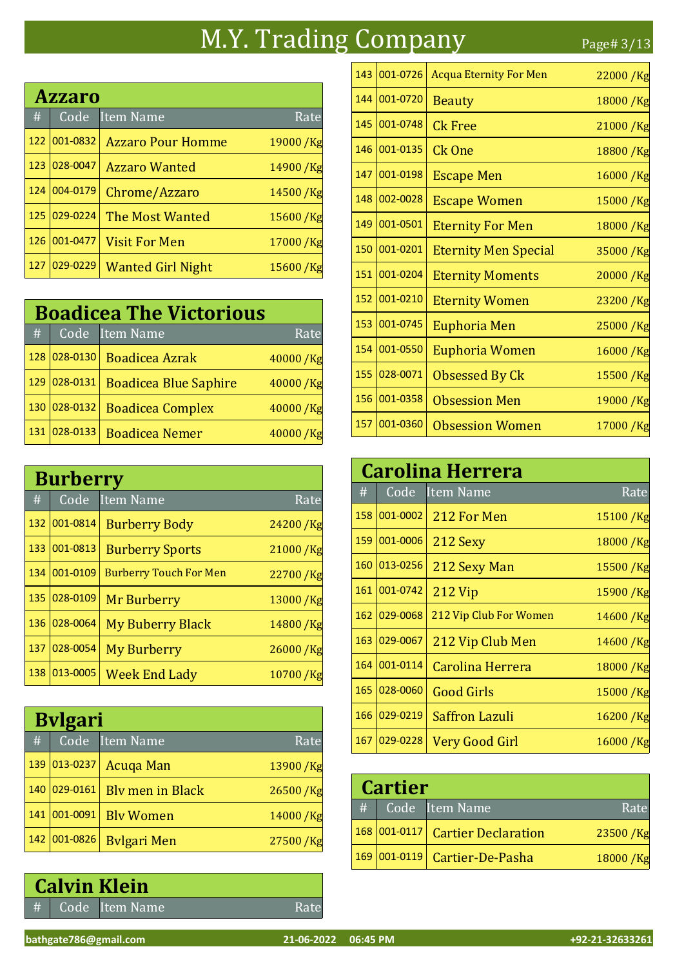### M.Y. Trading Company Page# 3/13

# Code Item Name Rate Azzaro 001-0832 Azzaro Pour Homme 19000 /Kg 123 028-0047 Azzaro Wanted 14900 /Kg 124 004-0179 Chrome/Azzaro 14500 /Kg 125 029-0224 The Most Wanted 15600 /Kg 126 001-0477 Visit For Men 17000 /Kg 127 029-0229 Wanted Girl Night 15600 /Kg

| <b>Boadicea The Victorious</b> |          |                              |          |      |
|--------------------------------|----------|------------------------------|----------|------|
| #                              | Code     | Item Name                    |          | Rate |
| 128                            | 028-0130 | <b>Boadicea Azrak</b>        | 40000/Kg |      |
| 129                            | 028-0131 | <b>Boadicea Blue Saphire</b> | 40000/Kg |      |
| 130                            | 028-0132 | <b>Boadicea Complex</b>      | 40000/Kg |      |
| 131                            | 028-0133 | <b>Boadicea Nemer</b>        | 40000/   |      |

|     | <b>Burberry</b> |                               |            |  |  |
|-----|-----------------|-------------------------------|------------|--|--|
| #   | Code            | <b>Item Name</b>              | Rate       |  |  |
| 132 | 001-0814        | <b>Burberry Body</b>          | 24200/Kg   |  |  |
| 133 | 001-0813        | <b>Burberry Sports</b>        | 21000/Kg   |  |  |
| 134 | 001-0109        | <b>Burberry Touch For Men</b> | 22700/Kg   |  |  |
| 135 | 028-0109        | <b>Mr Burberry</b>            | 13000/Kg   |  |  |
| 136 | 028-0064        | <b>My Buberry Black</b>       | 14800 / Kg |  |  |
| 137 | 028-0054        | <b>My Burberry</b>            | 26000/Kg   |  |  |
| 138 | 013-0005        | <b>Week End Lady</b>          | 10700/Kg   |  |  |

|     | <b>Bylgari</b> |                         |            |  |  |
|-----|----------------|-------------------------|------------|--|--|
| #   | Code           | <b>Item Name</b>        | Rate       |  |  |
| 139 | $ 013 - 0237 $ | Acuga Man               | 13900/Kg   |  |  |
| 140 | 029-0161       | <b>Bly men in Black</b> | 26500/Kg   |  |  |
| 141 | 001-0091       | <b>Blv Women</b>        | 14000 / Kg |  |  |
| 142 | 001-0826       | <b>Bylgari Men</b>      | 27500 /Kg  |  |  |

# Code Item Name Rate Calvin Klein

| 143 | 001-0726 | <b>Acqua Eternity For Men</b> | 22000/Kg   |
|-----|----------|-------------------------------|------------|
| 144 | 001-0720 | <b>Beauty</b>                 | 18000/Kg   |
| 145 | 001-0748 | <b>Ck Free</b>                | 21000 / Kg |
| 146 | 001-0135 | Ck One                        | 18800/Kg   |
| 147 | 001-0198 | <b>Escape Men</b>             | 16000/Kg   |
| 148 | 002-0028 | <b>Escape Women</b>           | 15000/Kg   |
| 149 | 001-0501 | <b>Eternity For Men</b>       | 18000 / Kg |
| 150 | 001-0201 | <b>Eternity Men Special</b>   | 35000 /Kg  |
| 151 | 001-0204 | <b>Eternity Moments</b>       | 20000/Kg   |
| 152 | 001-0210 | <b>Eternity Women</b>         | 23200/Kg   |
| 153 | 001-0745 | <b>Euphoria Men</b>           | 25000 /Kg  |
| 154 | 001-0550 | <b>Euphoria Women</b>         | 16000/Kg   |
| 155 | 028-0071 | <b>Obsessed By Ck</b>         | 15500/Kg   |
| 156 | 001-0358 | <b>Obsession Men</b>          | 19000/Kg   |
| 157 | 001-0360 | <b>Obsession Women</b>        | 17000/Kg   |

|     | <b>Carolina Herrera</b> |                        |             |  |  |
|-----|-------------------------|------------------------|-------------|--|--|
| #   | Code                    | Item Name              | Rate        |  |  |
| 158 | 001-0002                | 212 For Men            | 15100/Kg    |  |  |
| 159 | 001-0006                | 212 Sexy               | 18000/Kg    |  |  |
| 160 | 013-0256                | 212 Sexy Man           | 15500 /Kg   |  |  |
| 161 | 001-0742                | 212 Vip                | 15900/Kg    |  |  |
| 162 | 029-0068                | 212 Vip Club For Women | $14600$ /Kg |  |  |
| 163 | 029-0067                | 212 Vip Club Men       | 14600/Kg    |  |  |
| 164 | 001-0114                | Carolina Herrera       | 18000 / Kg  |  |  |
| 165 | 028-0060                | <b>Good Girls</b>      | 15000/Kg    |  |  |
| 166 | 029-0219                | <b>Saffron Lazuli</b>  | 16200/Kg    |  |  |
| 167 | 029-0228                | Very Good Girl         | 16000/Kg    |  |  |

| <b>Cartier</b> |  |                                  |          |  |
|----------------|--|----------------------------------|----------|--|
| #              |  | Code Item Name                   | Rate     |  |
|                |  | 168 001-0117 Cartier Declaration | 23500/Kg |  |
|                |  | 169 001-0119 Cartier-De-Pasha    | 18000/Kg |  |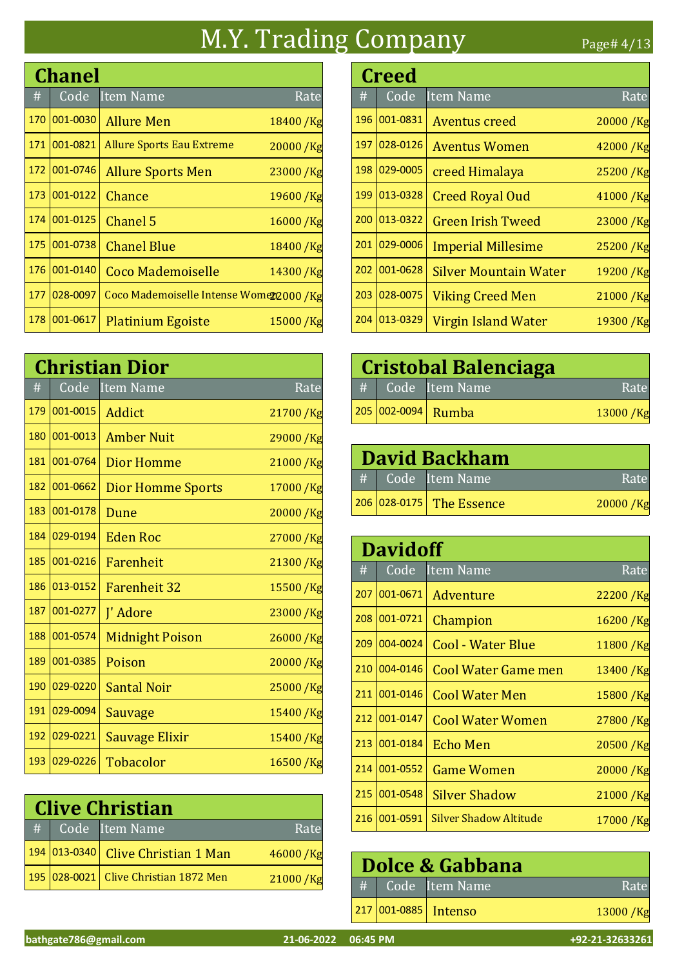## M.Y. Trading Company Page# 4/13

|     | <b>Chanel</b> |                                          |              |  |
|-----|---------------|------------------------------------------|--------------|--|
| #   | Code          | <b>Item Name</b>                         | Rate         |  |
| 170 | 001-0030      | <b>Allure Men</b>                        | 18400 / Kg   |  |
| 171 | 001-0821      | <b>Allure Sports Eau Extreme</b>         | $20000 /$ Kg |  |
| 172 | 001-0746      | <b>Allure Sports Men</b>                 | 23000 /Kg    |  |
| 173 | 001-0122      | Chance                                   | 19600/Kg     |  |
| 174 | 001-0125      | Chanel 5                                 | 16000 / Kg   |  |
| 175 | 001-0738      | <b>Chanel Blue</b>                       | 18400/Kg     |  |
| 176 | 001-0140      | <b>Coco Mademoiselle</b>                 | 14300/Kg     |  |
| 177 | 028-0097      | Coco Mademoiselle Intense Womer2000 / Kg |              |  |
| 178 | 001-0617      | <b>Platinium Egoiste</b>                 | 15000/Kg     |  |

|     | <b>Christian Dior</b> |                          |           |  |
|-----|-----------------------|--------------------------|-----------|--|
| #   | Code                  | <b>Item Name</b>         | Rate      |  |
| 179 | 001-0015              | Addict                   | 21700 /Kg |  |
| 180 | 001-0013              | <b>Amber Nuit</b>        | 29000/Kg  |  |
| 181 | 001-0764              | Dior Homme               | 21000/Kg  |  |
| 182 | 001-0662              | <b>Dior Homme Sports</b> | 17000 /Kg |  |
| 183 | 001-0178              | Dune                     | 20000/Kg  |  |
| 184 | 029-0194              | <b>Eden Roc</b>          | 27000/Kg  |  |
| 185 | 001-0216              | Farenheit                | 21300/Kg  |  |
| 186 | 013-0152              | <b>Farenheit 32</b>      | 15500 /Kg |  |
| 187 | 001-0277              | J' Adore                 | 23000 /Kg |  |
| 188 | 001-0574              | <b>Midnight Poison</b>   | 26000/Kg  |  |
| 189 | 001-0385              | Poison                   | 20000/Kg  |  |
| 190 | 029-0220              | <b>Santal Noir</b>       | 25000/Kg  |  |
| 191 | 029-0094              | Sauvage                  | 15400 /Kg |  |
| 192 | 029-0221              | Sauvage Elixir           | 15400 /Kg |  |
| 193 | 029-0226              | <b>Tobacolor</b>         | 16500/Kg  |  |

|   | <b>Clive Christian</b> |                                       |            |  |  |
|---|------------------------|---------------------------------------|------------|--|--|
| H |                        | Code Item Name                        | Rate       |  |  |
|   |                        | 194 013-0340 Clive Christian 1 Man    | 46000/Kg   |  |  |
|   |                        | 195 028-0021 Clive Christian 1872 Men | 21000 / Kg |  |  |

|     | <b>Creed</b> |                              |            |  |  |
|-----|--------------|------------------------------|------------|--|--|
| #   | Code         | <b>Item Name</b>             | Rate       |  |  |
| 196 | 001-0831     | Aventus creed                | 20000/Kg   |  |  |
| 197 | 028-0126     | <b>Aventus Women</b>         | 42000 / Kg |  |  |
| 198 | 029-0005     | creed Himalaya               | 25200/Kg   |  |  |
| 199 | 013-0328     | <b>Creed Royal Oud</b>       | 41000 /Kg  |  |  |
| 200 | 013-0322     | <b>Green Irish Tweed</b>     | 23000 /Kg  |  |  |
| 201 | 029-0006     | <b>Imperial Millesime</b>    | 25200 /Kg  |  |  |
| 202 | 001-0628     | <b>Silver Mountain Water</b> | 19200 / Kg |  |  |
| 203 | 028-0075     | <b>Viking Creed Men</b>      | 21000 / Kg |  |  |
| 204 | 013-0329     | Virgin Island Water          | 19300/Kg   |  |  |

| <b>Cristobal Balenciaga</b> |                                                                                |          |  |
|-----------------------------|--------------------------------------------------------------------------------|----------|--|
|                             | $\left  \begin{array}{c c} \# & \bar{\rm{Code}} \end{array} \right $ Item Name | Rate     |  |
|                             | 205 002-0094 Rumba                                                             | 13000/Kg |  |

| <b>David Backham</b> |                          |             |  |
|----------------------|--------------------------|-------------|--|
|                      | # Code Item Name         | Rate        |  |
|                      | 206 028-0175 The Essence | $20000$ /Kg |  |

|     | <b>Davidoff</b> |                        |             |  |
|-----|-----------------|------------------------|-------------|--|
| #   | Code            | <b>Item Name</b>       | Rate        |  |
| 207 | 001-0671        | Adventure              | 22200/Kg    |  |
| 208 | 001-0721        | Champion               | 16200/Kg    |  |
| 209 | 004-0024        | Cool - Water Blue      | 11800/Kg    |  |
| 210 | 004-0146        | Cool Water Game men    | 13400 / Kg  |  |
| 211 | 001-0146        | <b>Cool Water Men</b>  | 15800/Kg    |  |
| 212 | 001-0147        | Cool Water Women       | 27800 / Kg  |  |
| 213 | 001-0184        | <b>Echo Men</b>        | $20500$ /Kg |  |
| 214 | 001-0552        | Game Women             | 20000/Kg    |  |
| 215 | 001-0548        | <b>Silver Shadow</b>   | 21000 /Kg   |  |
| 216 | 001-0591        | Silver Shadow Altitude | 17000 / Kg  |  |

| Dolce & Gabbana |                      |          |  |  |
|-----------------|----------------------|----------|--|--|
|                 | #   Code   Item Name | Rate     |  |  |
|                 | 217 001-0885 Intenso | 13000/Kg |  |  |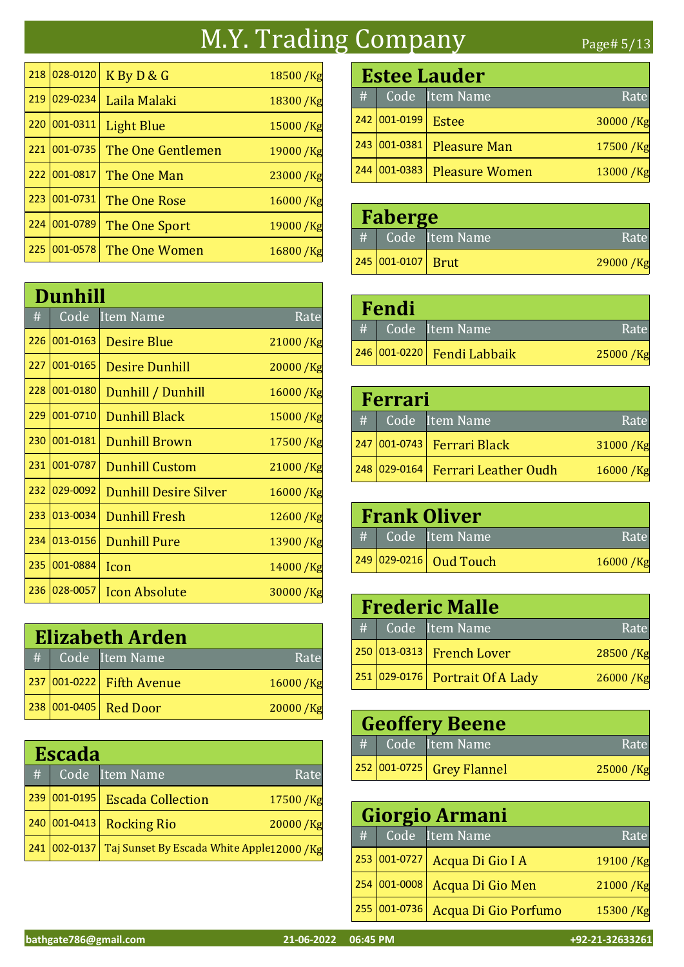### M.Y. Trading Company Page# 5/13

| 218 | 028-0120 | K By D & G        | 18500 / Kg |
|-----|----------|-------------------|------------|
| 219 | 029-0234 | Laila Malaki      | 18300 / Kg |
| 220 | 001-0311 | <b>Light Blue</b> | 15000 / Kg |
| 221 | 001-0735 | The One Gentlemen | 19000 / Kg |
| 222 | 001-0817 | The One Man       | 23000 / Kg |
| 223 | 001-0731 | The One Rose      | 16000/Kg   |
| 224 | 001-0789 | The One Sport     | 19000 / Kg |
| 225 | 001-0578 | The One Women     | 16800/Kg   |

|     | Dunhill  |                              |             |  |  |
|-----|----------|------------------------------|-------------|--|--|
| #   | Code     | <b>Item Name</b>             | Rate        |  |  |
| 226 | 001-0163 | <b>Desire Blue</b>           | 21000 / Kg  |  |  |
| 227 | 001-0165 | <b>Desire Dunhill</b>        | 20000 / Kg  |  |  |
| 228 | 001-0180 | Dunhill / Dunhill            | $16000$ /Kg |  |  |
| 229 | 001-0710 | <b>Dunhill Black</b>         | 15000/Kg    |  |  |
| 230 | 001-0181 | <b>Dunhill Brown</b>         | 17500 /Kg   |  |  |
| 231 | 001-0787 | <b>Dunhill Custom</b>        | 21000 /Kg   |  |  |
| 232 | 029-0092 | <b>Dunhill Desire Silver</b> | 16000/Kg    |  |  |
| 233 | 013-0034 | <b>Dunhill Fresh</b>         | 12600/Kg    |  |  |
| 234 | 013-0156 | <b>Dunhill Pure</b>          | 13900 /Kg   |  |  |
| 235 | 001-0884 | Icon                         | 14000 / Kg  |  |  |
| 236 | 028-0057 | <b>Icon Absolute</b>         | 30000/Kg    |  |  |

| <b>Elizabeth Arden</b> |  |                           |          |
|------------------------|--|---------------------------|----------|
|                        |  | # Code Ttem Name          | Rate     |
|                        |  | 237 001-0222 Fifth Avenue | 16000/Kg |
|                        |  | 238 001-0405 Red Door     | 20000/Kg |

| <b>Escada</b> |                 |                                                         |          |  |
|---------------|-----------------|---------------------------------------------------------|----------|--|
| #             |                 | Code Item Name                                          | Rate     |  |
|               | 239 001-0195    | <b>Escada Collection</b>                                | 17500/Kg |  |
|               | $240 001-0413 $ | <b>Rocking Rio</b>                                      | 20000/Kg |  |
|               |                 | 241 002-0137 Taj Sunset By Escada White Apple12000 / Kg |          |  |

|     | <b>Estee Lauder</b> |                       |          |  |
|-----|---------------------|-----------------------|----------|--|
| #   |                     | Code Item Name        | Rate     |  |
|     | 242 001-0199        | Estee                 | 30000/Kg |  |
|     | 243 001-0381        | <b>Pleasure Man</b>   | 17500/Kg |  |
| 244 | $ 001 - 0383 $      | <b>Pleasure Women</b> | 13000/Kg |  |

| Faberge |                   |                |            |
|---------|-------------------|----------------|------------|
| #       |                   | Code Item Name | Rate       |
|         | 245 001-0107 Brut |                | 29000 / Kg |

| Fendi |  |                                  |          |
|-------|--|----------------------------------|----------|
|       |  | # Code Item Name                 | Rate     |
|       |  | 246   001-0220   Fendi Labbaik / | 25000/Kg |

|   | Ferrari |                                   |             |  |
|---|---------|-----------------------------------|-------------|--|
| # |         | Code Item Name                    | Rate        |  |
|   |         | 247 001-0743 Ferrari Black        | 31000/Kg    |  |
|   |         | 248 029-0164 Ferrari Leather Oudh | $16000$ /Kg |  |

| <b>Frank Oliver</b> |  |                        |          |
|---------------------|--|------------------------|----------|
| #                   |  | Code Item Name         | Rate     |
|                     |  | 249 029-0216 Oud Touch | 16000/Kg |

| <b>Frederic Malle</b> |                                     |          |  |
|-----------------------|-------------------------------------|----------|--|
|                       | # Code Ttem Name                    | Rate     |  |
|                       | 250 013-0313 French Lover           | 28500/Kg |  |
|                       | $ 251 029-0176 $ Portrait Of A Lady | 26000/Kg |  |

| <b>Geoffery Beene</b> |  |                           |          |  |
|-----------------------|--|---------------------------|----------|--|
|                       |  | $\#$ Code Item Name       | Rate     |  |
|                       |  | 252 001-0725 Grey Flannel | 25000/Kg |  |

|   | Giorgio Armani |                               |            |  |
|---|----------------|-------------------------------|------------|--|
| # |                | Code Item Name                | Rate       |  |
|   |                | 253 001-0727 Acqua Di Gio I A | 19100 / Kg |  |
|   | 254 001-0008   | Acqua Di Gio Men              | 21000 / Kg |  |
|   | 255 001-0736   | Acqua Di Gio Porfumo          | 15300/Kg   |  |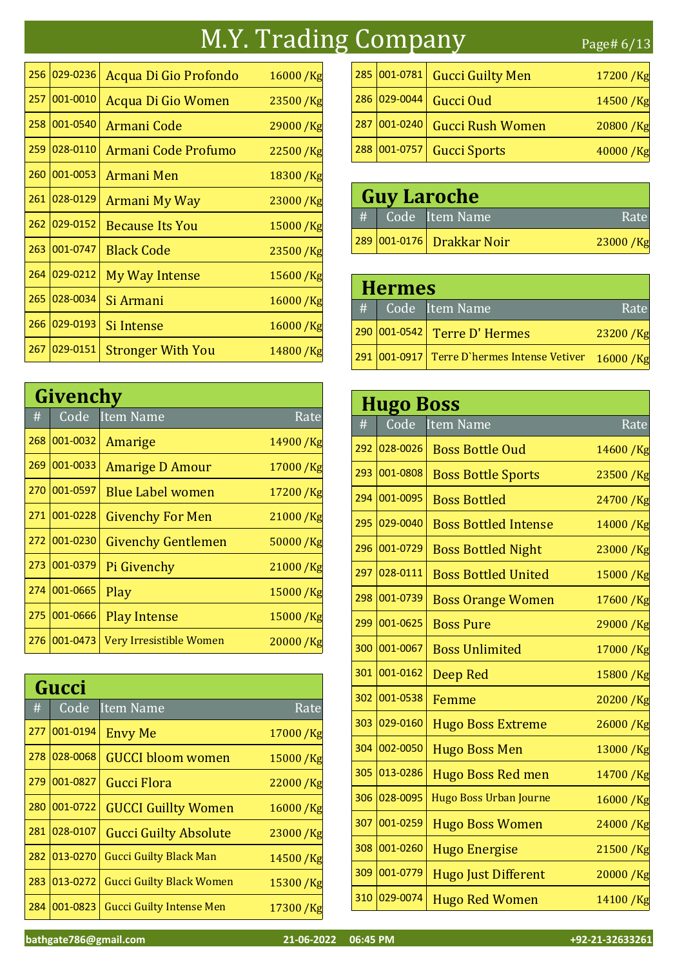## M.Y. Trading Company Page# 6/13

| 256 | 029-0236 | Acqua Di Gio Profondo      | 16000/Kg   |
|-----|----------|----------------------------|------------|
| 257 | 001-0010 | Acqua Di Gio Women         | 23500/Kg   |
| 258 | 001-0540 | Armani Code                | 29000 /Kg  |
| 259 | 028-0110 | <b>Armani Code Profumo</b> | 22500 /Kg  |
| 260 | 001-0053 | Armani Men                 | 18300/Kg   |
| 261 | 028-0129 | Armani My Way              | 23000 / Kg |
| 262 | 029-0152 | <b>Because Its You</b>     | 15000/Kg   |
| 263 | 001-0747 | <b>Black Code</b>          | 23500/Kg   |
| 264 | 029-0212 | My Way Intense             | 15600 /Kg  |
| 265 | 028-0034 | Si Armani                  | 16000/Kg   |
| 266 | 029-0193 | Si Intense                 | 16000/Kg   |
| 267 | 029-0151 | <b>Stronger With You</b>   | 14800/Kg   |

|     | Givenchy |                           |            |  |
|-----|----------|---------------------------|------------|--|
| #   | Code     | <b>Item Name</b>          | Rate       |  |
| 268 | 001-0032 | Amarige                   | 14900 /Kg  |  |
| 269 | 001-0033 | <b>Amarige D Amour</b>    | 17000 / Kg |  |
| 270 | 001-0597 | <b>Blue Label women</b>   | 17200 / Kg |  |
| 271 | 001-0228 | <b>Givenchy For Men</b>   | 21000 / Kg |  |
| 272 | 001-0230 | <b>Givenchy Gentlemen</b> | 50000 /Kg  |  |
| 273 | 001-0379 | Pi Givenchy               | 21000/Kg   |  |
| 274 | 001-0665 | Play                      | 15000/Kg   |  |
| 275 | 001-0666 | <b>Play Intense</b>       | 15000/Kg   |  |
| 276 | 001-0473 | Very Irresistible Women   | 20000/Kg   |  |

|     | Gucci    |                                 |             |  |
|-----|----------|---------------------------------|-------------|--|
| #   | Code     | <b>Item Name</b>                | Rate        |  |
| 277 | 001-0194 | <b>Envy Me</b>                  | 17000/Kg    |  |
| 278 | 028-0068 | <b>GUCCI bloom women</b>        | 15000 /Kg   |  |
| 279 | 001-0827 | Gucci Flora                     | 22000/Kg    |  |
| 280 | 001-0722 | <b>GUCCI Guillty Women</b>      | 16000/Kg    |  |
| 281 | 028-0107 | <b>Gucci Guilty Absolute</b>    | 23000 /Kg   |  |
| 282 | 013-0270 | <b>Gucci Guilty Black Man</b>   | 14500/Kg    |  |
| 283 | 013-0272 | <b>Gucci Guilty Black Women</b> | $15300$ /Kg |  |
| 284 | 001-0823 | <b>Gucci Guilty Intense Men</b> | 17300/Kg    |  |

| 285 001-0781 | <b>Gucci Guilty Men</b> | 17200/Kg |
|--------------|-------------------------|----------|
| 286 029-0044 | Gucci Oud               | 14500/Kg |
| 287 001-0240 | <b>Gucci Rush Women</b> | 20800/Kg |
| 288 001-0757 | <b>Gucci Sports</b>     | 40000/Kg |

| <b>Guy Laroche</b> |  |                           |          |
|--------------------|--|---------------------------|----------|
|                    |  | # Code Item Name          | Rate     |
|                    |  | 289 001-0176 Drakkar Noir | 23000/Kg |

| <b>Hermes</b> |                                             |             |  |
|---------------|---------------------------------------------|-------------|--|
|               | #   Code   Item Name                        | Rate        |  |
|               | 290 001-0542 Terre D' Hermes                | 23200/Kg    |  |
|               | 291 001-0917 Terre D'hermes Intense Vetiver | $16000$ /Kg |  |

|     | <b>Hugo Boss</b> |                               |            |  |
|-----|------------------|-------------------------------|------------|--|
| #   | Code             | <b>Item Name</b>              | Rate       |  |
| 292 | 028-0026         | <b>Boss Bottle Oud</b>        | 14600 /Kg  |  |
| 293 | 001-0808         | <b>Boss Bottle Sports</b>     | 23500/Kg   |  |
| 294 | 001-0095         | <b>Boss Bottled</b>           | 24700 /Kg  |  |
| 295 | 029-0040         | <b>Boss Bottled Intense</b>   | 14000/Kg   |  |
| 296 | 001-0729         | <b>Boss Bottled Night</b>     | 23000/Kg   |  |
| 297 | 028-0111         | <b>Boss Bottled United</b>    | 15000/Kg   |  |
| 298 | 001-0739         | <b>Boss Orange Women</b>      | 17600 /Kg  |  |
| 299 | 001-0625         | <b>Boss Pure</b>              | 29000/Kg   |  |
| 300 | 001-0067         | <b>Boss Unlimited</b>         | 17000 /Kg  |  |
| 301 | 001-0162         | Deep Red                      | 15800 /Kg  |  |
| 302 | 001-0538         | Femme                         | 20200/Kg   |  |
| 303 | 029-0160         | <b>Hugo Boss Extreme</b>      | 26000/Kg   |  |
| 304 | 002-0050         | <b>Hugo Boss Men</b>          | 13000 /Kg  |  |
| 305 | 013-0286         | <b>Hugo Boss Red men</b>      | 14700 /Kg  |  |
| 306 | 028-0095         | <b>Hugo Boss Urban Journe</b> | 16000 / Kg |  |
| 307 | 001-0259         | <b>Hugo Boss Women</b>        | 24000/Kg   |  |
| 308 | 001-0260         | <b>Hugo Energise</b>          | 21500/Kg   |  |
| 309 | 001-0779         | <b>Hugo Just Different</b>    | 20000/Kg   |  |
| 310 | 029-0074         | <b>Hugo Red Women</b>         | 14100/Kg   |  |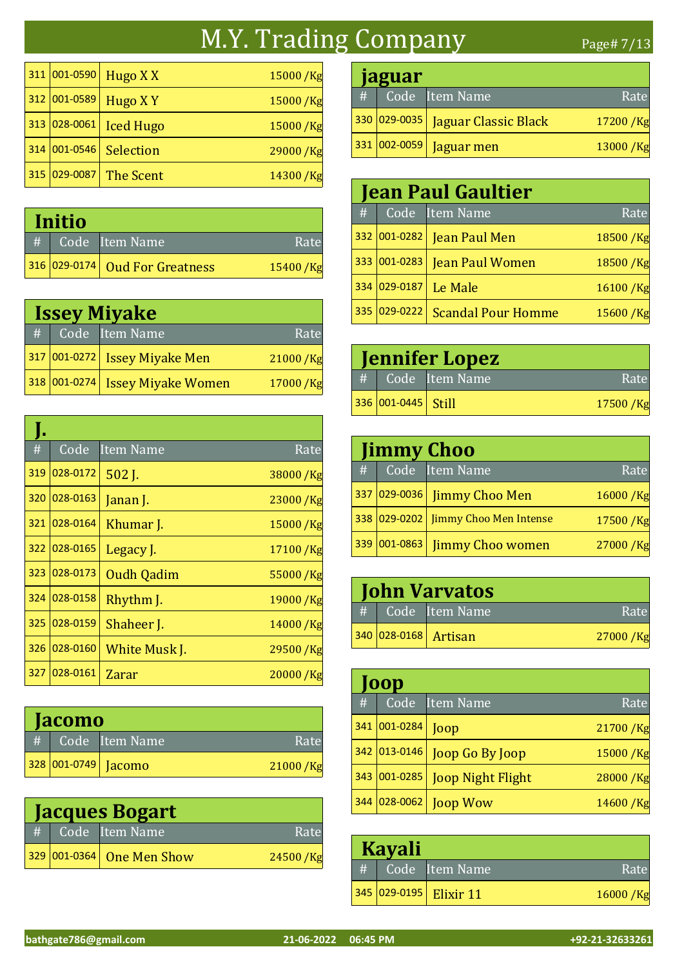#### M.Y. Trading Company Page# 7/13

311 001-0590 Hugo X X 15000 /Kg 312 001-0589 Hugo X Y 15000 /Kg 313 028-0061 Iced Hugo 15000 /Kg 314 001-0546 Selection 29000 /Kg 315  $|029-0087|$  The Scent 14300 /Kg

| Initio          |  |                                |          |
|-----------------|--|--------------------------------|----------|
| $\overline{\#}$ |  | Code Item Name                 | Rate     |
|                 |  | 316 029-0174 Oud For Greatness | 15400/Kg |

| <b>Issey Miyake</b> |              |                               |          |
|---------------------|--------------|-------------------------------|----------|
| #                   |              | Code Item Name                | Rate     |
|                     |              | 317 001-0272 Issey Miyake Men | 21000/Kg |
|                     | 318 001-0274 | <b>Issey Miyake Women</b>     | 17000/Kg |

| #   | Code     | <b>Item Name</b>  | Rate       |
|-----|----------|-------------------|------------|
| 319 | 028-0172 | 502 J.            | 38000 / Kg |
| 320 | 028-0163 | Janan J.          | 23000 / Kg |
| 321 | 028-0164 | Khumar J.         | 15000 / Kg |
| 322 | 028-0165 | Legacy J.         | 17100/Kg   |
| 323 | 028-0173 | <b>Oudh Qadim</b> | 55000 /Kg  |
| 324 | 028-0158 | Rhythm J.         | 19000/Kg   |
| 325 | 028-0159 | Shaheer J.        | 14000/Kg   |
| 326 | 028-0160 | White Musk J.     | 29500 /Kg  |
| 327 | 028-0161 | Zarar             | 20000/Kg   |

| <b>Jacomo</b> |  |                     |          |
|---------------|--|---------------------|----------|
| #             |  | Code Item Name      | Rate     |
|               |  | 328 001-0749 Jacomo | 21000/Kg |

| <b>Jacques Bogart</b> |  |                           |          |
|-----------------------|--|---------------------------|----------|
|                       |  | # Code Item Name          | Rate     |
|                       |  | 329 001-0364 One Men Show | 24500/Kg |

|   | <b>Jaguar</b> |                                   |          |  |
|---|---------------|-----------------------------------|----------|--|
| # |               | Code Item Name                    | Rate     |  |
|   |               | 330 029-0035 Jaguar Classic Black | 17200/Kg |  |
|   | 331 002-0059  | Jaguar men                        | 13000/Kg |  |

|   | <b>Jean Paul Gaultier</b> |                           |          |  |
|---|---------------------------|---------------------------|----------|--|
| # |                           | Code Item Name            | Rate     |  |
|   | 332 001-0282              | Jean Paul Men             | 18500/Kg |  |
|   | 333 001-0283              | <b>Jean Paul Women</b>    | 18500/Kg |  |
|   | 334 029-0187              | Le Male                   | 16100/Kg |  |
|   | 335 029-0222              | <b>Scandal Pour Homme</b> | 15600/Kg |  |

| <b>Jennifer Lopez</b> |                       |                |          |
|-----------------------|-----------------------|----------------|----------|
| #                     |                       | Code Item Name | Rate     |
|                       | $336 001-0445 $ Still |                | 17500/Kg |

| <b>Jimmy Choo</b> |                                     |            |  |
|-------------------|-------------------------------------|------------|--|
|                   | #   Code Item Name                  | Rate       |  |
|                   | 337 029-0036 Jimmy Choo Men         | 16000/Kg   |  |
|                   | 338 029-0202 Jimmy Choo Men Intense | 17500/Kg   |  |
|                   | 339 001-0863 Jimmy Choo women       | 27000 / Kg |  |

| <b>John Varvatos</b> |  |                      |          |
|----------------------|--|----------------------|----------|
| #                    |  | Code Item Name       | Rate     |
|                      |  | 340 028-0168 Artisan | 27000/Kg |

|     | 00p            |                          |            |  |
|-----|----------------|--------------------------|------------|--|
| #   | Code           | Item Name                | Rate       |  |
| 341 | $ 001 - 0284 $ | Joop                     | 21700 / Kg |  |
|     | 342 013-0146   | Joop Go By Joop          | 15000/Kg   |  |
| 343 | $ 001 - 0285 $ | <b>Joop Night Flight</b> | 28000/Kg   |  |
|     | 344 028-0062   | <b>Joop Wow</b>          | 14600 / Kg |  |

| <b>Kayali</b> |  |                        |          |
|---------------|--|------------------------|----------|
| #             |  | Code Item Name         | Rate     |
|               |  | 345 029-0195 Elixir 11 | 16000/Kg |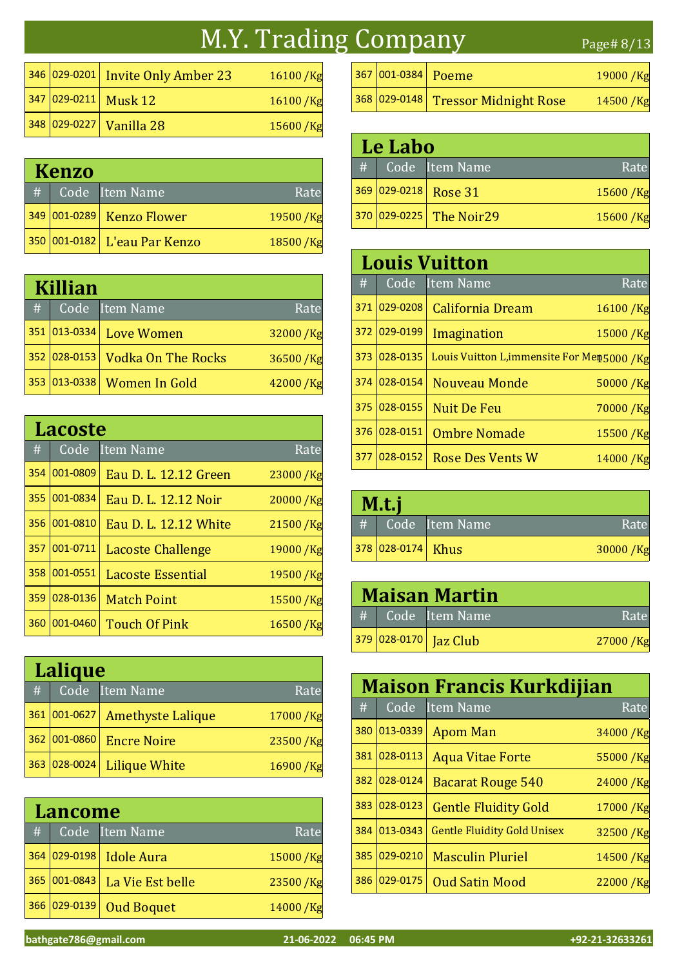### M.Y. Trading Company Page# 8/13

|  | $ 346 029-0201 $ Invite Only Amber 23 | 16100/Kg |
|--|---------------------------------------|----------|
|  | 347 029-0211 Musk 12                  | 16100/Kg |
|  | 348 029-0227 Vanilla 28               | 15600/Kg |

|   | <b>Kenzo</b> |                              |            |  |
|---|--------------|------------------------------|------------|--|
| # |              | Code Item Name               | Rate       |  |
|   |              | 349 001-0289 Kenzo Flower    | 19500 / Kg |  |
|   |              | 350 001-0182 L'eau Par Kenzo | 18500 / Kg |  |

|     | Killian        |                           |          |  |
|-----|----------------|---------------------------|----------|--|
| #   |                | Code Item Name            | Rate     |  |
|     | 351 013-0334   | <b>Love Women</b>         | 32000/Kg |  |
|     | 352 028-0153   | <b>Vodka On The Rocks</b> | 36500/Kg |  |
| 353 | $ 013 - 0338 $ | <b>Women In Gold</b>      | 42000/Kg |  |

|     | <b>Lacoste</b> |                          |            |  |
|-----|----------------|--------------------------|------------|--|
| #   | Code           | <b>Item Name</b>         | Rate       |  |
| 354 | 001-0809       | Eau D. L. 12.12 Green    | 23000/Kg   |  |
| 355 | 001-0834       | Eau D. L. 12.12 Noir     | 20000/Kg   |  |
| 356 | 001-0810       | Eau D. L. 12.12 White    | 21500/Kg   |  |
| 357 | 001-0711       | <b>Lacoste Challenge</b> | 19000 /Kg  |  |
| 358 | 001-0551       | Lacoste Essential        | 19500/Kg   |  |
| 359 | 028-0136       | <b>Match Point</b>       | 15500 / Kg |  |
| 360 | 001-0460       | <b>Touch Of Pink</b>     | 16500/Kg   |  |

|     | Lalique      |                          |            |  |
|-----|--------------|--------------------------|------------|--|
| #   |              | Code Item Name           | Rate       |  |
|     | 361 001-0627 | <b>Amethyste Lalique</b> | 17000 / Kg |  |
|     | 362 001-0860 | <b>Encre Noire</b>       | 23500/Kg   |  |
| 363 | 028-0024     | <b>Lilique White</b>     | 16900/Kg   |  |

|     | <b>Lancome</b> |                   |          |  |
|-----|----------------|-------------------|----------|--|
| #   |                | Code Item Name    | Rate     |  |
| 364 | $ 029 - 0198 $ | <b>Idole Aura</b> | 15000/Kg |  |
|     | 365 001-0843   | La Vie Est belle  | 23500/Kg |  |
| 366 | $ 029 - 0139$  | <b>Oud Boquet</b> | 14000/Kg |  |

| 367 001-0384 Poeme |                                    | $19000$ /Kg |
|--------------------|------------------------------------|-------------|
|                    | 368 029-0148 Tressor Midnight Rose | $14500$ /Kg |

| Le Labo |  |                         |          |
|---------|--|-------------------------|----------|
| #       |  | Code Item Name          | Rate     |
|         |  | 369 029-0218 Rose 31    | 15600/Kg |
|         |  | 370 029-0225 The Noir29 | 15600/Kg |

|     | <b>Louis Vuitton</b> |                                             |            |  |
|-----|----------------------|---------------------------------------------|------------|--|
| #   |                      | Code Item Name                              | Rate       |  |
| 371 | $ 029 - 0208 $       | <b>California Dream</b>                     | 16100/Kg   |  |
| 372 | $ 029-0199$          | Imagination                                 | 15000/Kg   |  |
| 373 | 028-0135             | Louis Vuitton L, immensite For Men5000 / Kg |            |  |
| 374 | $ 028 - 0154 $       | Nouveau Monde                               | 50000/Kg   |  |
| 375 | $ 028 - 0155 $       | <b>Nuit De Feu</b>                          | 70000 / Kg |  |
| 376 | 028-0151             | <b>Ombre Nomade</b>                         | 15500/Kg   |  |
| 377 | 028-0152             | <b>Rose Des Vents W</b>                     | 14000/Kg   |  |

| M.t.j |                   |                |          |
|-------|-------------------|----------------|----------|
| #     |                   | Code Item Name | Rate     |
|       | 378 028-0174 Khus |                | 30000/Kg |

| <b>Maisan Martin</b> |  |                       |          |
|----------------------|--|-----------------------|----------|
|                      |  | # Code Item Name      | Rate     |
|                      |  | 379 028-0170 Jaz Club | 27000/Kg |

|     | <b>Maison Francis Kurkdijian</b> |                                    |             |  |
|-----|----------------------------------|------------------------------------|-------------|--|
| #   | Code                             | <b>Item Name</b>                   | Rate        |  |
| 380 | 013-0339                         | <b>Apom Man</b>                    | 34000/Kg    |  |
| 381 | 028-0113                         | <b>Aqua Vitae Forte</b>            | 55000/Kg    |  |
| 382 | 028-0124                         | <b>Bacarat Rouge 540</b>           | 24000/Kg    |  |
| 383 | 028-0123                         | <b>Gentle Fluidity Gold</b>        | 17000/Kg    |  |
| 384 | 013-0343                         | <b>Gentle Fluidity Gold Unisex</b> | 32500/Kg    |  |
| 385 | 029-0210                         | <b>Masculin Pluriel</b>            | 14500/Kg    |  |
| 386 | 029-0175                         | <b>Oud Satin Mood</b>              | $22000$ /Kg |  |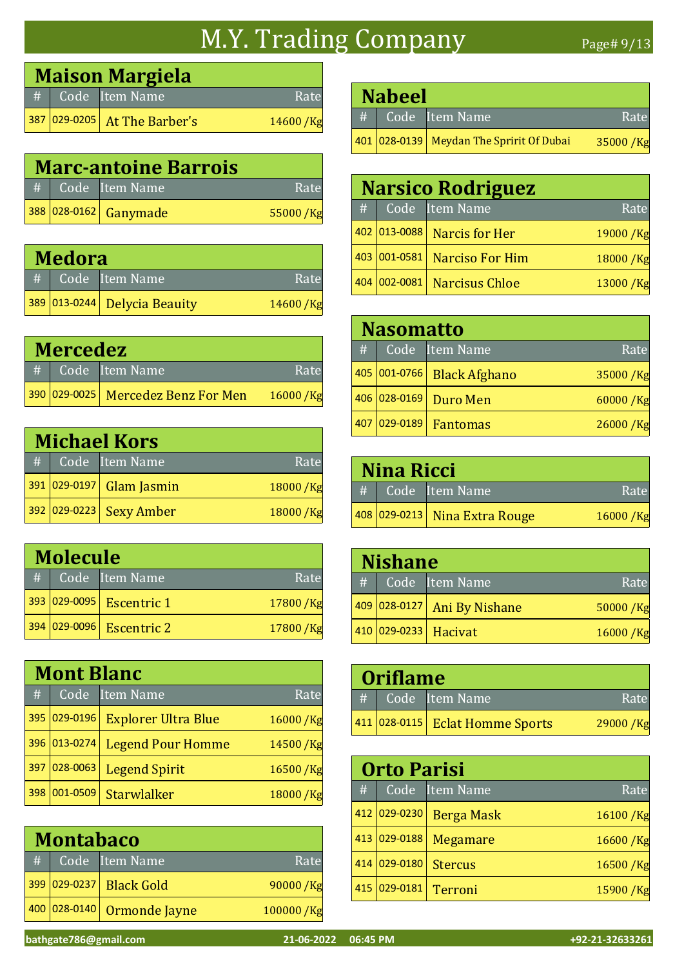# M.Y. Trading Company Page# 9/13

| <b>Maison Margiela</b> |                              |          |  |  |
|------------------------|------------------------------|----------|--|--|
|                        | $\#$ Code Item Name          | Rate     |  |  |
|                        | 387 029-0205 At The Barber's | 14600/Kg |  |  |

| <b>Marc-antoine Barrois</b> |  |                       |          |  |
|-----------------------------|--|-----------------------|----------|--|
|                             |  | # Code Item Name      | Rate     |  |
|                             |  | 388 028-0162 Ganymade | 55000/Kg |  |

| <b>Medora</b> |  |                              |          |  |
|---------------|--|------------------------------|----------|--|
|               |  | $#$ Code Item Name           | Rate     |  |
|               |  | 389 013-0244 Delycia Beauity | 14600/Kg |  |

| <b>Mercedez</b> |  |                                    |              |
|-----------------|--|------------------------------------|--------------|
|                 |  | $#$ $\overline{Code}$ Item Name    | Rate         |
|                 |  | 390 029-0025 Mercedez Benz For Men | $16000 /$ Kg |

|   | <b>Michael Kors</b> |                          |            |  |
|---|---------------------|--------------------------|------------|--|
| # |                     | Code Item Name           | Rate       |  |
|   |                     | 391 029-0197 Glam Jasmin | 18000/Kg   |  |
|   |                     | 392 029-0223 Sexy Amber  | 18000 / Kg |  |

| <b>Molecule</b> |              |                          |          |
|-----------------|--------------|--------------------------|----------|
| #               |              | Code Item Name           | Rate     |
|                 |              | 393 029-0095 Escentric 1 | 17800/Kg |
|                 | 394 029-0096 | <b>Escentric 2</b>       | 17800/Kg |

|     | <b>Mont Blanc</b> |                            |            |  |
|-----|-------------------|----------------------------|------------|--|
| #   |                   | Code Item Name             | Rate       |  |
| 395 | 029-0196          | <b>Explorer Ultra Blue</b> | 16000/Kg   |  |
| 396 | 013-0274          | <b>Legend Pour Homme</b>   | 14500/Kg   |  |
| 397 | 028-0063          | <b>Legend Spirit</b>       | 16500 /Kg  |  |
| 398 | $001 - 0509$      | Starwlalker                | 18000 / Kg |  |

|   | <b>Montabaco</b> |                         |           |  |
|---|------------------|-------------------------|-----------|--|
| # |                  | Code Item Name          | Rate      |  |
|   |                  | 399 029-0237 Black Gold | 90000 /Kg |  |
|   | 400 028-0140     | Ormonde Jayne           | 100000/Kg |  |

| <b>Nabeel</b> |  |                                          |          |  |
|---------------|--|------------------------------------------|----------|--|
| #             |  | Code Item Name                           | Rate     |  |
|               |  | 401 028-0139 Meydan The Spririt Of Dubai | 35000/Kg |  |

|     | <b>Narsico Rodriguez</b> |                             |          |  |  |
|-----|--------------------------|-----------------------------|----------|--|--|
| #   |                          | Code Item Name              | Rate     |  |  |
|     |                          | 402 013-0088 Narcis for Her | 19000/Kg |  |  |
|     | 403 001-0581             | <b>Narciso For Him</b>      | 18000/Kg |  |  |
| 404 | $ 002 - 0081 $           | <b>Narcisus Chloe</b>       | 13000/Kg |  |  |

|     | <b>Nasomatto</b> |                |                            |             |  |
|-----|------------------|----------------|----------------------------|-------------|--|
|     |                  |                | #   Code Item Name         | Rate        |  |
|     |                  |                | 405 001-0766 Black Afghano | 35000/Kg    |  |
|     |                  | 406 028-0169   | Duro Men                   | $60000$ /Kg |  |
| 407 |                  | $ 029 - 0189 $ | <b>Fantomas</b>            | 26000/Kg    |  |

| <b>Nina Ricci</b> |  |                               |          |  |
|-------------------|--|-------------------------------|----------|--|
| #                 |  | Code Item Name                | Rate     |  |
|                   |  | 408 029-0213 Nina Extra Rouge | 16000/Kg |  |

|   | <b>Nishane</b> |                             |          |  |  |
|---|----------------|-----------------------------|----------|--|--|
| # |                | Code Item Name              | Rate     |  |  |
|   |                | 409 028-0127 Ani By Nishane | 50000/Kg |  |  |
|   |                | 410 029-0233 Hacivat        | 16000/Kg |  |  |

| Oriflame |  |                                 |           |  |
|----------|--|---------------------------------|-----------|--|
|          |  | # Code Item Name                | Rate      |  |
|          |  | 411 028-0115 Eclat Homme Sports | 29000 /Kg |  |

|     | <b>Orto Parisi</b> |                   |            |  |  |
|-----|--------------------|-------------------|------------|--|--|
| #   |                    | Code Item Name    | Rate       |  |  |
| 412 | $ 029 - 0230$      | <b>Berga Mask</b> | 16100/Kg   |  |  |
| 413 | 029-0188           | Megamare          | 16600/Kg   |  |  |
| 414 | 029-0180           | <b>Stercus</b>    | 16500/Kg   |  |  |
| 415 | 029-0181           | <b>Terroni</b>    | 15900 / Kg |  |  |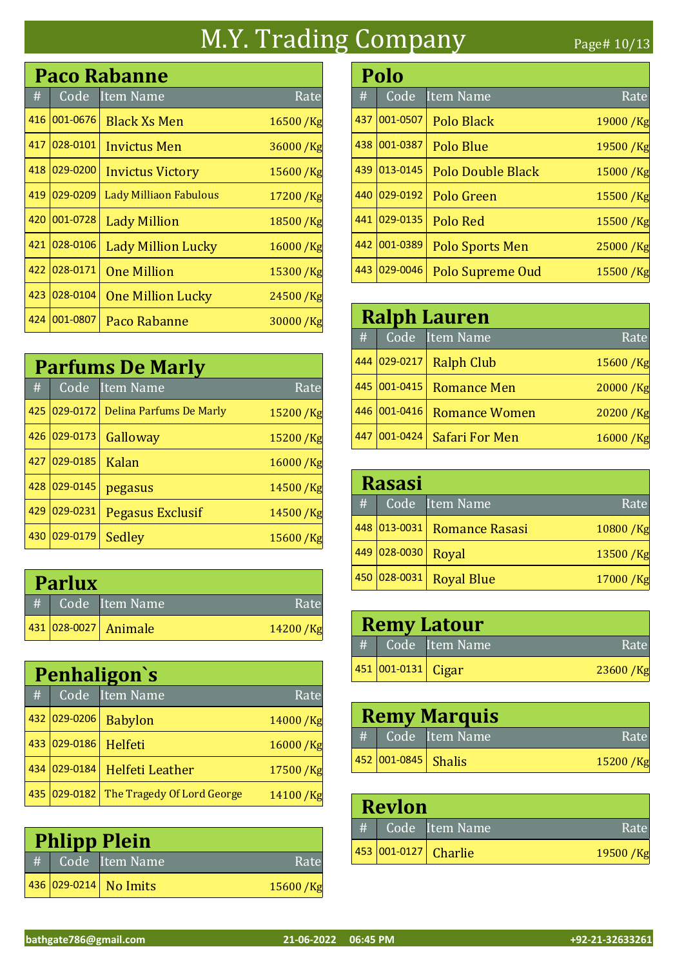## M.Y. Trading Company Page# 10/13

|     | <b>Paco Rabanne</b> |                               |            |  |  |
|-----|---------------------|-------------------------------|------------|--|--|
| #   | Code                | Item Name                     | Rate       |  |  |
| 416 | 001-0676            | <b>Black Xs Men</b>           | 16500/Kg   |  |  |
| 417 | 028-0101            | Invictus Men                  | 36000/Kg   |  |  |
| 418 | 029-0200            | <b>Invictus Victory</b>       | 15600 /Kg  |  |  |
| 419 | 029-0209            | <b>Lady Milliaon Fabulous</b> | 17200/Kg   |  |  |
| 420 | 001-0728            | <b>Lady Million</b>           | 18500 /Kg  |  |  |
| 421 | 028-0106            | <b>Lady Million Lucky</b>     | 16000 / Kg |  |  |
| 422 | 028-0171            | <b>One Million</b>            | 15300/Kg   |  |  |
| 423 | 028-0104            | <b>One Million Lucky</b>      | 24500/Kg   |  |  |
| 424 | 001-0807            | Paco Rabanne                  | 30000/Kg   |  |  |

|     | <b>Parfums De Marly</b> |                                  |            |  |  |
|-----|-------------------------|----------------------------------|------------|--|--|
| #   | Code                    | Item Name                        | Rate       |  |  |
| 425 |                         | 029-0172 Delina Parfums De Marly | 15200/Kg   |  |  |
| 426 | 029-0173                | Galloway                         | 15200 / Kg |  |  |
| 427 | 029-0185                | Kalan                            | 16000/Kg   |  |  |
| 428 | 029-0145                | pegasus                          | 14500/Kg   |  |  |
| 429 | 029-0231                | <b>Pegasus Exclusif</b>          | 14500/Kg   |  |  |
| 430 | 029-0179                | Sedley                           | 15600/Kg   |  |  |

| <b>Parlux</b> |  |                      |            |  |
|---------------|--|----------------------|------------|--|
| #             |  | Code Item Name       | Rate       |  |
|               |  | 431 028-0027 Animale | 14200 / Kg |  |

|     | Penhaligon's   |                            |          |  |  |
|-----|----------------|----------------------------|----------|--|--|
| #   | Code           | Item Name                  | Rate     |  |  |
| 432 | $ 029 - 0206 $ | <b>Babylon</b>             | 14000/Kg |  |  |
| 433 | 029-0186       | Helfeti                    | 16000/Kg |  |  |
| 434 | 029-0184       | <b>Helfeti Leather</b>     | 17500/Kg |  |  |
|     | 435 029-0182   | The Tragedy Of Lord George | 14100/Kg |  |  |

| <b>Phlipp Plein</b> |  |                       |           |  |
|---------------------|--|-----------------------|-----------|--|
|                     |  | $#$ Code Item Name    | Rate      |  |
|                     |  | 436 029-0214 No Imits | 15600 /Kg |  |

|      | Polo     |                          |          |  |  |
|------|----------|--------------------------|----------|--|--|
| $\#$ | Code     | Item Name                | Rate     |  |  |
| 437  | 001-0507 | Polo Black               | 19000/Kg |  |  |
| 438  | 001-0387 | Polo Blue                | 19500/Kg |  |  |
| 439  | 013-0145 | <b>Polo Double Black</b> | 15000/Kg |  |  |
| 440  | 029-0192 | Polo Green               | 15500/Kg |  |  |
| 441  | 029-0135 | Polo Red                 | 15500/Kg |  |  |
| 442  | 001-0389 | Polo Sports Men          | 25000/Kg |  |  |
| 443  | 029-0046 | <b>Polo Supreme Oud</b>  | 15500/Kg |  |  |

|     | <b>Ralph Lauren</b> |                       |          |  |  |
|-----|---------------------|-----------------------|----------|--|--|
| #   |                     | Code Item Name        | Rate     |  |  |
| 444 | 029-0217            | <b>Ralph Club</b>     | 15600/Kg |  |  |
|     | 445 001-0415        | <b>Romance Men</b>    | 20000/Kg |  |  |
| 446 | 001-0416            | <b>Romance Women</b>  | 20200/Kg |  |  |
| 447 | $001 - 0424$        | <b>Safari For Men</b> | 16000/Kg |  |  |

|   | <b>Rasasi</b> |                             |          |  |  |
|---|---------------|-----------------------------|----------|--|--|
| # |               | Code Item Name              | Rate     |  |  |
|   |               | 448 013-0031 Romance Rasasi | 10800/Kg |  |  |
|   | 449 028-0030  | Royal                       | 13500/Kg |  |  |
|   |               | 450 028-0031 Royal Blue     | 17000/Kg |  |  |

| <b>Remy Latour</b> |                    |                    |             |
|--------------------|--------------------|--------------------|-------------|
|                    |                    | #   Code Item Name | Rate        |
|                    | 451 001-0131 Cigar |                    | $23600$ /Kg |

| <b>Remy Marquis</b> |                         |                                                                                         |            |  |
|---------------------|-------------------------|-----------------------------------------------------------------------------------------|------------|--|
|                     |                         | $\left  \! \! \! \begin{array}{c} \text{#} \end{array} \! \! \! \right $ Code Ttem Name | Rate       |  |
|                     | $ 452 001-0845 $ Shalis |                                                                                         | 15200 / Kg |  |

| <b>Revlon</b> |  |                      |          |
|---------------|--|----------------------|----------|
| #             |  | Code Item Name       | Rate     |
|               |  | 453 001-0127 Charlie | 19500/Kg |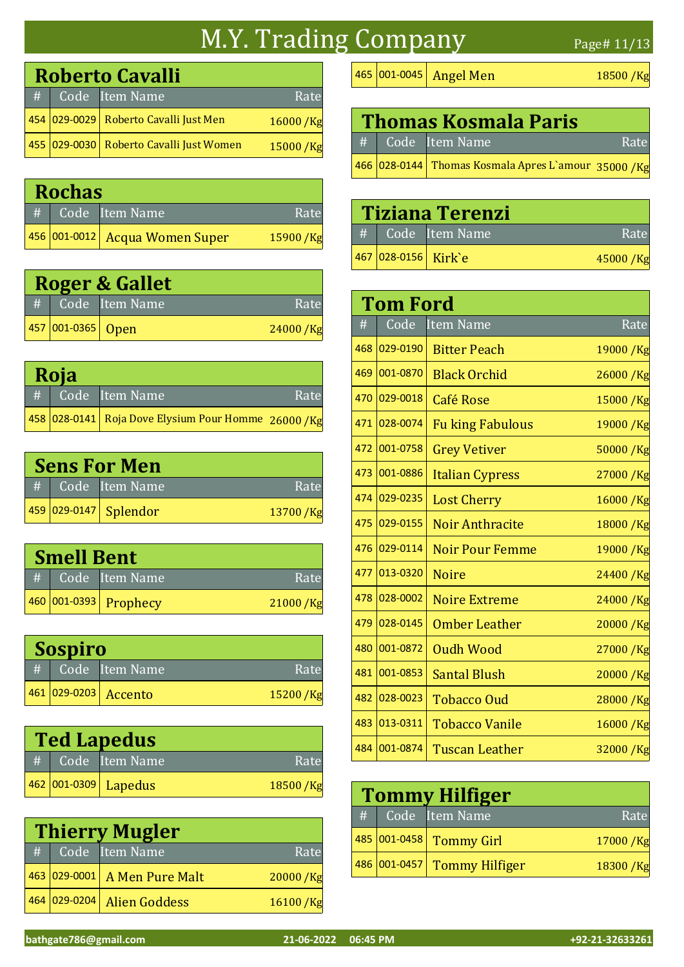### M.Y. Trading Company Page# 11/13

|   | <b>Roberto Cavalli</b> |                                             |          |  |  |
|---|------------------------|---------------------------------------------|----------|--|--|
| # |                        | Code Item Name                              | Rate     |  |  |
|   |                        | 454   029-0029   Roberto Cavalli Just Men   | 16000/Kg |  |  |
|   |                        | 455   029-0030   Roberto Cavalli Just Women | 15000/Kg |  |  |

| <b>Rochas</b> |  |                                |          |  |
|---------------|--|--------------------------------|----------|--|
| #             |  | Code Item Name                 | Rate     |  |
|               |  | 456 001-0012 Acqua Women Super | 15900/Kg |  |

| <b>Roger &amp; Gallet</b> |                   |                  |            |  |
|---------------------------|-------------------|------------------|------------|--|
|                           |                   | # Code Item Name | Rate       |  |
|                           | 457 001-0365 Open |                  | 24000 / Kg |  |

| Roja |  |                                                       |      |  |
|------|--|-------------------------------------------------------|------|--|
|      |  | # Code Item Name                                      | Rate |  |
|      |  | 458 028-0141 Roja Dove Elysium Pour Homme $26000$ /Kg |      |  |

| <b>Sens For Men</b> |                       |          |
|---------------------|-----------------------|----------|
|                     | # Code Item Name      | Rate     |
|                     | 459 029-0147 Splendor | 13700/Kg |

| <b>Smell Bent</b> |  |                       |          |  |
|-------------------|--|-----------------------|----------|--|
|                   |  | # Code Item Name      | Rate     |  |
|                   |  | 460 001-0393 Prophecy | 21000/Kg |  |

| <b>Sospiro</b> |  |                                 |          |
|----------------|--|---------------------------------|----------|
|                |  | $#$ $\overline{Code}$ Item Name | Rate     |
|                |  | 461 029-0203 Accento            | 15200/Kg |

| <b>Ted Lapedus</b> |                          |          |  |
|--------------------|--------------------------|----------|--|
|                    | # Code Item Name         | Rate     |  |
|                    | 462   001-0309   Lapedus | 18500/Kg |  |

|   | <b>Thierry Mugler</b> |                              |          |
|---|-----------------------|------------------------------|----------|
| # |                       | Code Item Name               | Rate     |
|   |                       | 463 029-0001 A Men Pure Malt | 20000/Kg |
|   | 464 029-0204          | <b>Alien Goddess</b>         | 16100/Kg |

465 001-0045 Angel Men 18500 /Kg

| <b>Thomas Kosmala Paris</b> |                                                     |      |  |  |
|-----------------------------|-----------------------------------------------------|------|--|--|
|                             | # Code Item Name                                    | Rate |  |  |
|                             | 466 028-0144 Thomas Kosmala Apres L'amour 35000 /Kg |      |  |  |

| <b>Tiziana Terenzi</b> |                  |          |  |  |
|------------------------|------------------|----------|--|--|
|                        | # Code Item Name | Rate     |  |  |
| 467 028-0156 Kirk`e    |                  | 45000/Kg |  |  |

|     | Tom Ford |                         |            |
|-----|----------|-------------------------|------------|
| #   | Code     | <b>Item Name</b>        | Rate       |
| 468 | 029-0190 | <b>Bitter Peach</b>     | 19000 / Kg |
| 469 | 001-0870 | <b>Black Orchid</b>     | 26000 /Kg  |
| 470 | 029-0018 | <b>Café Rose</b>        | 15000 /Kg  |
| 471 | 028-0074 | <b>Fu king Fabulous</b> | 19000 /Kg  |
| 472 | 001-0758 | <b>Grey Vetiver</b>     | 50000 /Kg  |
| 473 | 001-0886 | <b>Italian Cypress</b>  | 27000 / Kg |
| 474 | 029-0235 | <b>Lost Cherry</b>      | 16000 / Kg |
| 475 | 029-0155 | <b>Noir Anthracite</b>  | 18000 / Kg |
| 476 | 029-0114 | <b>Noir Pour Femme</b>  | 19000 / Kg |
| 477 | 013-0320 | <b>Noire</b>            | 24400 /Kg  |
| 478 | 028-0002 | <b>Noire Extreme</b>    | 24000 /Kg  |
| 479 | 028-0145 | <b>Omber Leather</b>    | 20000 /Kg  |
| 480 | 001-0872 | <b>Oudh Wood</b>        | 27000 /Kg  |
| 481 | 001-0853 | <b>Santal Blush</b>     | 20000 /Kg  |
| 482 | 028-0023 | <b>Tobacco Oud</b>      | 28000 /Kg  |
| 483 | 013-0311 | <b>Tobacco Vanile</b>   | 16000 /Kg  |
| 484 | 001-0874 | Tuscan Leather          | 32000 / Kg |

| <b>Tommy Hilfiger</b> |                             |            |
|-----------------------|-----------------------------|------------|
|                       | # Code Item Name            | Rate       |
|                       | 485 001-0458 Tommy Girl     | 17000 / Kg |
|                       | 486 001-0457 Tommy Hilfiger | 18300 /Kg  |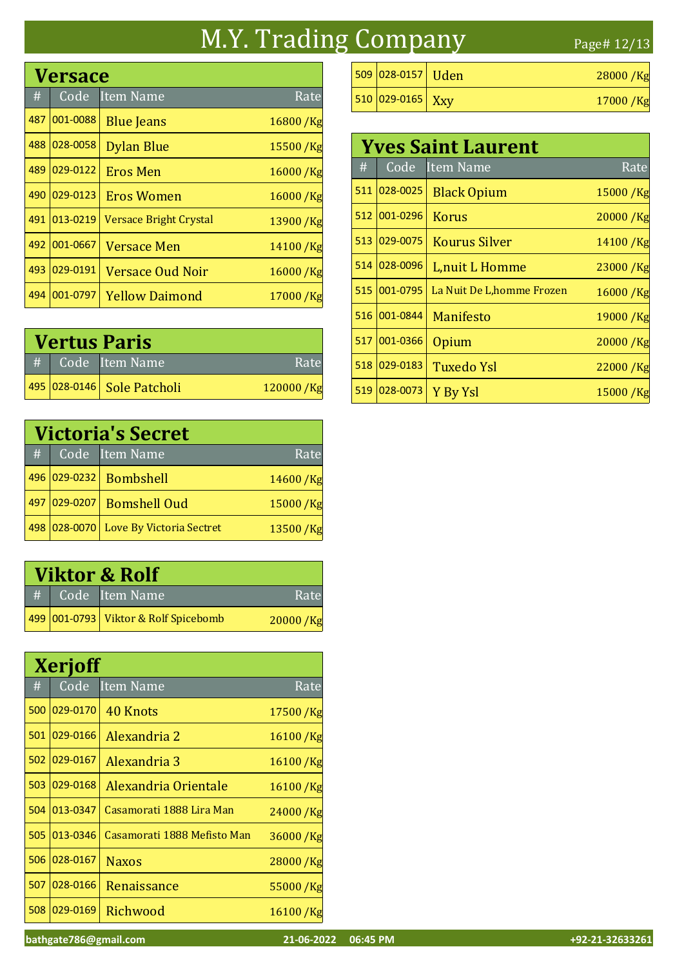### M.Y. Trading Company Page# 12/13

# Code Item Name Rate Versace 487 001-0088 Blue Jeans 16800 /Kg 488 028-0058 Dylan Blue 15500 /Kg 489 <mark>029-0122</mark> Eros Men 16000 /Kg 490 <mark>029-0123</mark> Eros Women 16000 /Kg 491  $\big|$ 013-0219 $\big|$  Versace Bright Crystal  $13900$  /Kg 492 001-0667 Versace Men 14100 /Kg 493 029-0191 Versace Oud Noir 16000 /Kg 494 001-0797 Yellow Daimond 17000 /Kg

| <b>Vertus Paris</b> |                            |           |  |
|---------------------|----------------------------|-----------|--|
|                     | # Code Item Name           | Rate      |  |
|                     | 495 028-0146 Sole Patcholi | 120000/Kg |  |

|     | <b>Victoria's Secret</b> |                                       |          |  |
|-----|--------------------------|---------------------------------------|----------|--|
| #   |                          | Code Item Name                        | Rate     |  |
|     | 496 029-0232             | Bombshell                             | 14600/Kg |  |
| 497 | 029-0207                 | <b>Bomshell Oud</b>                   | 15000/Kg |  |
|     |                          | 498 028-0070 Love By Victoria Sectret | 13500/Kg |  |

|   | <b>Viktor &amp; Rolf</b> |                                      |          |  |  |
|---|--------------------------|--------------------------------------|----------|--|--|
| # |                          | Code Item Name                       | Rate     |  |  |
|   |                          | 499 001-0793 Viktor & Rolf Spicebomb | 20000/Kg |  |  |

|     | <b>Xerjoff</b> |                             |              |  |  |
|-----|----------------|-----------------------------|--------------|--|--|
| #   | Code           | <b>Item Name</b>            | Rate         |  |  |
| 500 | 029-0170       | 40 Knots                    | 17500 /Kg    |  |  |
| 501 | 029-0166       | Alexandria 2                | 16100/Kg     |  |  |
| 502 | 029-0167       | Alexandria 3                | 16100 /Kg    |  |  |
| 503 | 029-0168       | Alexandria Orientale        | 16100 /Kg    |  |  |
| 504 | 013-0347       | Casamorati 1888 Lira Man    | 24000 /Kg    |  |  |
| 505 | 013-0346       | Casamorati 1888 Mefisto Man | $36000 /$ Kg |  |  |
| 506 | 028-0167       | <b>Naxos</b>                | 28000/Kg     |  |  |
| 507 | 028-0166       | Renaissance                 | 55000/Kg     |  |  |
| 508 | 029-0169       | Richwood                    | 16100/Kg     |  |  |

| $509 028-0157 $ Uden | $28000$ /Kg |
|----------------------|-------------|
| 510 029-0165 Xxy     | $17000$ /Kg |

| <b>Yves Saint Laurent</b> |          |                            |             |
|---------------------------|----------|----------------------------|-------------|
| #                         | Code     | Item Name                  | Rate        |
| 511                       | 028-0025 | <b>Black Opium</b>         | 15000 / Kg  |
| 512                       | 001-0296 | Korus                      | 20000/Kg    |
| 513                       | 029-0075 | <b>Kourus Silver</b>       | 14100/Kg    |
| 514                       | 028-0096 | L, nuit L Homme            | $23000$ /Kg |
| 515                       | 001-0795 | La Nuit De L, homme Frozen | 16000 /Kg   |
| 516                       | 001-0844 | Manifesto                  | 19000/Kg    |
| 517                       | 001-0366 | Opium                      | 20000/Kg    |
| 518                       | 029-0183 | <b>Tuxedo Ysl</b>          | 22000 / Kg  |
| 519                       | 028-0073 | Y By Ysl                   | 15000/Kg    |